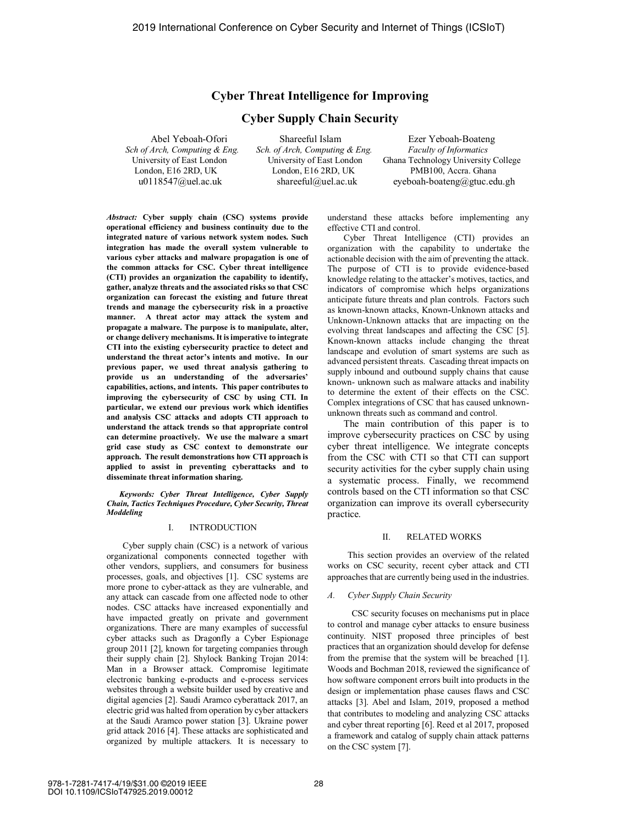# **Cyber Threat Intelligence for Improving**

# **Cyber Supply Chain Security**

Abel Yeboah-Ofori Shareeful Islam Ezer Yeboah-Boateng  *Sch of Arch, Computing & Eng. Sch. of Arch, Computing & Eng. Faculty of Informatics*  London, E16 2RD, UK London, E16 2RD, UK PMB100, Accra. Ghana

 University of East London University of East London Ghana Technology University College u0118547@uel.ac.ukshareeful@uel.ac.uk eyeboah-boateng@gtuc.edu.gh

*Abstract:* **Cyber supply chain (CSC) systems provide operational efficiency and business continuity due to the integrated nature of various network system nodes. Such integration has made the overall system vulnerable to various cyber attacks and malware propagation is one of the common attacks for CSC. Cyber threat intelligence (CTI) provides an organization the capability to identify, gather, analyze threats and the associated risks so that CSC organization can forecast the existing and future threat trends and manage the cybersecurity risk in a proactive manner. A threat actor may attack the system and propagate a malware. The purpose is to manipulate, alter, or change delivery mechanisms. It is imperative to integrate CTI into the existing cybersecurity practice to detect and understand the threat actor's intents and motive. In our previous paper, we used threat analysis gathering to provide us an understanding of the adversaries' capabilities, actions, and intents. This paper contributes to improving the cybersecurity of CSC by using CTI. In particular, we extend our previous work which identifies and analysis CSC attacks and adopts CTI approach to understand the attack trends so that appropriate control can determine proactively. We use the malware a smart grid case study as CSC context to demonstrate our approach. The result demonstrations how CTI approach is applied to assist in preventing cyberattacks and to disseminate threat information sharing.**

*Keywords: Cyber Threat Intelligence, Cyber Supply Chain, Tactics Techniques Procedure, Cyber Security, Threat Moddeling* 

# I. INTRODUCTION

Cyber supply chain (CSC) is a network of various organizational components connected together with other vendors, suppliers, and consumers for business processes, goals, and objectives [1]. CSC systems are more prone to cyber-attack as they are vulnerable, and any attack can cascade from one affected node to other nodes. CSC attacks have increased exponentially and have impacted greatly on private and government organizations. There are many examples of successful cyber attacks such as Dragonfly a Cyber Espionage group 2011 [2], known for targeting companies through their supply chain [2]. Shylock Banking Trojan 2014: Man in a Browser attack. Compromise legitimate electronic banking e-products and e-process services websites through a website builder used by creative and digital agencies [2]. Saudi Aramco cyberattack 2017, an electric grid was halted from operation by cyber attackers at the Saudi Aramco power station [3]. Ukraine power grid attack 2016 [4]. These attacks are sophisticated and organized by multiple attackers. It is necessary to

understand these attacks before implementing any effective CTI and control.

Cyber Threat Intelligence (CTI) provides an organization with the capability to undertake the actionable decision with the aim of preventing the attack. The purpose of CTI is to provide evidence-based knowledge relating to the attacker's motives, tactics, and indicators of compromise which helps organizations anticipate future threats and plan controls. Factors such as known-known attacks, Known-Unknown attacks and Unknown-Unknown attacks that are impacting on the evolving threat landscapes and affecting the CSC [5]. Known-known attacks include changing the threat landscape and evolution of smart systems are such as advanced persistent threats. Cascading threat impacts on supply inbound and outbound supply chains that cause known- unknown such as malware attacks and inability to determine the extent of their effects on the CSC. Complex integrations of CSC that has caused unknownunknown threats such as command and control.

The main contribution of this paper is to improve cybersecurity practices on CSC by using cyber threat intelligence. We integrate concepts from the CSC with CTI so that CTI can support security activities for the cyber supply chain using a systematic process. Finally, we recommend controls based on the CTI information so that CSC organization can improve its overall cybersecurity practice.

#### II. RELATED WORKS

 This section provides an overview of the related works on CSC security, recent cyber attack and CTI approaches that are currently being used in the industries.

## *A. Cyber Supply Chain Security*

 CSC security focuses on mechanisms put in place to control and manage cyber attacks to ensure business continuity. NIST proposed three principles of best practices that an organization should develop for defense from the premise that the system will be breached [1]. Woods and Bochman 2018, reviewed the significance of how software component errors built into products in the design or implementation phase causes flaws and CSC attacks [3]. Abel and Islam, 2019, proposed a method that contributes to modeling and analyzing CSC attacks and cyber threat reporting [6]. Reed et al 2017, proposed a framework and catalog of supply chain attack patterns on the CSC system [7].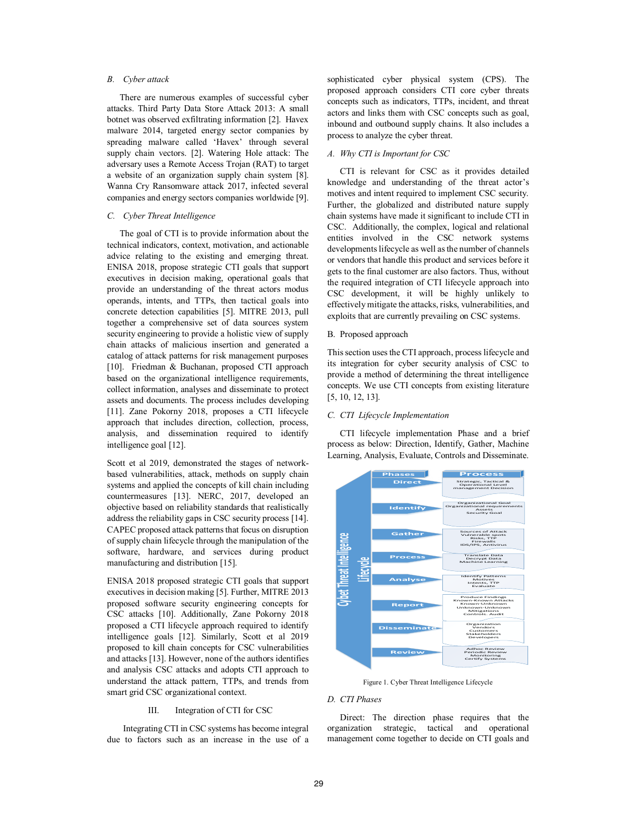## *B. Cyber attack*

There are numerous examples of successful cyber attacks. Third Party Data Store Attack 2013: A small botnet was observed exfiltrating information [2]. Havex malware 2014, targeted energy sector companies by spreading malware called 'Havex' through several supply chain vectors. [2]. Watering Hole attack: The adversary uses a Remote Access Trojan (RAT) to target a website of an organization supply chain system [8]. Wanna Cry Ransomware attack 2017, infected several companies and energy sectors companies worldwide [9].

# *C. Cyber Threat Intelligence*

 The goal of CTI is to provide information about the technical indicators, context, motivation, and actionable advice relating to the existing and emerging threat. ENISA 2018, propose strategic CTI goals that support executives in decision making, operational goals that provide an understanding of the threat actors modus operands, intents, and TTPs, then tactical goals into concrete detection capabilities [5]. MITRE 2013, pull together a comprehensive set of data sources system security engineering to provide a holistic view of supply chain attacks of malicious insertion and generated a catalog of attack patterns for risk management purposes [10]. Friedman & Buchanan, proposed CTI approach based on the organizational intelligence requirements, collect information, analyses and disseminate to protect assets and documents. The process includes developing [11]. Zane Pokorny 2018, proposes a CTI lifecycle approach that includes direction, collection, process, analysis, and dissemination required to identify intelligence goal [12].

Scott et al 2019, demonstrated the stages of networkbased vulnerabilities, attack, methods on supply chain systems and applied the concepts of kill chain including countermeasures [13]. NERC, 2017, developed an objective based on reliability standards that realistically address the reliability gaps in CSC security process [14]. CAPEC proposed attack patterns that focus on disruption of supply chain lifecycle through the manipulation of the software, hardware, and services during product manufacturing and distribution [15].

ENISA 2018 proposed strategic CTI goals that support executives in decision making [5]. Further, MITRE 2013 proposed software security engineering concepts for CSC attacks [10]. Additionally, Zane Pokorny 2018 proposed a CTI lifecycle approach required to identify intelligence goals [12]. Similarly, Scott et al 2019 proposed to kill chain concepts for CSC vulnerabilities and attacks [13]. However, none of the authors identifies and analysis CSC attacks and adopts CTI approach to understand the attack pattern, TTPs, and trends from smart grid CSC organizational context.

## III. Integration of CTI for CSC

Integrating CTI in CSC systems has become integral due to factors such as an increase in the use of a sophisticated cyber physical system (CPS). The proposed approach considers CTI core cyber threats concepts such as indicators, TTPs, incident, and threat actors and links them with CSC concepts such as goal, inbound and outbound supply chains. It also includes a process to analyze the cyber threat.

# *A. Why CTI is Important for CSC*

CTI is relevant for CSC as it provides detailed knowledge and understanding of the threat actor's motives and intent required to implement CSC security. Further, the globalized and distributed nature supply chain systems have made it significant to include CTI in CSC. Additionally, the complex, logical and relational entities involved in the CSC network systems developments lifecycle as well as the number of channels or vendors that handle this product and services before it gets to the final customer are also factors. Thus, without the required integration of CTI lifecycle approach into CSC development, it will be highly unlikely to effectively mitigate the attacks, risks, vulnerabilities, and exploits that are currently prevailing on CSC systems.

# B. Proposed approach

This section uses the CTI approach, process lifecycle and its integration for cyber security analysis of CSC to provide a method of determining the threat intelligence concepts. We use CTI concepts from existing literature [5, 10, 12, 13].

#### *C. CTI Lifecycle Implementation*

CTI lifecycle implementation Phase and a brief process as below: Direction, Identify, Gather, Machine Learning, Analysis, Evaluate, Controls and Disseminate.



Figure 1. Cyber Threat Intelligence Lifecycle

## *D. CTI Phases*

Direct: The direction phase requires that the organization strategic, tactical and operational management come together to decide on CTI goals and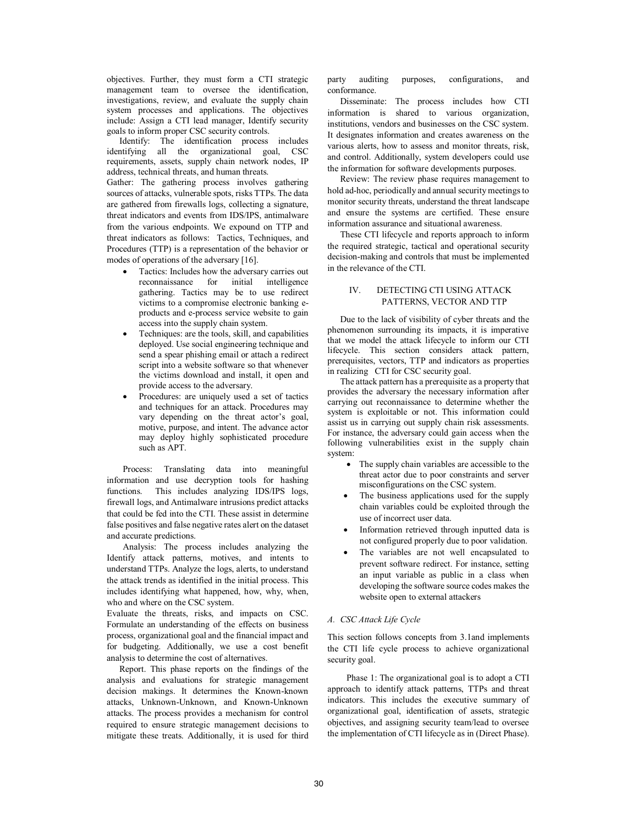objectives. Further, they must form a CTI strategic management team to oversee the identification, investigations, review, and evaluate the supply chain system processes and applications. The objectives include: Assign a CTI lead manager, Identify security goals to inform proper CSC security controls.

Identify: The identification process includes identifying all the organizational goal, CSC requirements, assets, supply chain network nodes, IP address, technical threats, and human threats.

Gather: The gathering process involves gathering sources of attacks, vulnerable spots, risks TTPs. The data are gathered from firewalls logs, collecting a signature, threat indicators and events from IDS/IPS, antimalware from the various endpoints. We expound on TTP and threat indicators as follows: Tactics, Techniques, and Procedures (TTP) is a representation of the behavior or modes of operations of the adversary [16].

- Tactics: Includes how the adversary carries out<br>reconnaissance for initial intelligence reconnaissance for initial intelligence gathering. Tactics may be to use redirect victims to a compromise electronic banking eproducts and e-process service website to gain access into the supply chain system.
- Techniques: are the tools, skill, and capabilities deployed. Use social engineering technique and send a spear phishing email or attach a redirect script into a website software so that whenever the victims download and install, it open and provide access to the adversary.
- Procedures: are uniquely used a set of tactics and techniques for an attack. Procedures may vary depending on the threat actor's goal, motive, purpose, and intent. The advance actor may deploy highly sophisticated procedure such as APT.

Process: Translating data into meaningful information and use decryption tools for hashing functions. This includes analyzing IDS/IPS logs, firewall logs, and Antimalware intrusions predict attacks that could be fed into the CTI. These assist in determine false positives and false negative rates alert on the dataset and accurate predictions.

Analysis: The process includes analyzing the Identify attack patterns, motives, and intents to understand TTPs. Analyze the logs, alerts, to understand the attack trends as identified in the initial process. This includes identifying what happened, how, why, when, who and where on the CSC system.

Evaluate the threats, risks, and impacts on CSC. Formulate an understanding of the effects on business process, organizational goal and the financial impact and for budgeting. Additionally, we use a cost benefit analysis to determine the cost of alternatives.

Report. This phase reports on the findings of the analysis and evaluations for strategic management decision makings. It determines the Known-known attacks, Unknown-Unknown, and Known-Unknown attacks. The process provides a mechanism for control required to ensure strategic management decisions to mitigate these treats. Additionally, it is used for third party auditing purposes, configurations, and conformance.

Disseminate: The process includes how CTI information is shared to various organization, institutions, vendors and businesses on the CSC system. It designates information and creates awareness on the various alerts, how to assess and monitor threats, risk, and control. Additionally, system developers could use the information for software developments purposes.

Review: The review phase requires management to hold ad-hoc, periodically and annual security meetings to monitor security threats, understand the threat landscape and ensure the systems are certified. These ensure information assurance and situational awareness.

These CTI lifecycle and reports approach to inform the required strategic, tactical and operational security decision-making and controls that must be implemented in the relevance of the CTI.

# IV. DETECTING CTI USING ATTACK PATTERNS, VECTOR AND TTP

Due to the lack of visibility of cyber threats and the phenomenon surrounding its impacts, it is imperative that we model the attack lifecycle to inform our CTI lifecycle. This section considers attack pattern, prerequisites, vectors, TTP and indicators as properties in realizing CTI for CSC security goal.

The attack pattern has a prerequisite as a property that provides the adversary the necessary information after carrying out reconnaissance to determine whether the system is exploitable or not. This information could assist us in carrying out supply chain risk assessments. For instance, the adversary could gain access when the following vulnerabilities exist in the supply chain system:

- The supply chain variables are accessible to the threat actor due to poor constraints and server misconfigurations on the CSC system.
- The business applications used for the supply chain variables could be exploited through the use of incorrect user data.
- Information retrieved through inputted data is not configured properly due to poor validation.
- The variables are not well encapsulated to prevent software redirect. For instance, setting an input variable as public in a class when developing the software source codes makes the website open to external attackers

# *A. CSC Attack Life Cycle*

This section follows concepts from 3.1and implements the CTI life cycle process to achieve organizational security goal.

Phase 1: The organizational goal is to adopt a CTI approach to identify attack patterns, TTPs and threat indicators. This includes the executive summary of organizational goal, identification of assets, strategic objectives, and assigning security team/lead to oversee the implementation of CTI lifecycle as in (Direct Phase).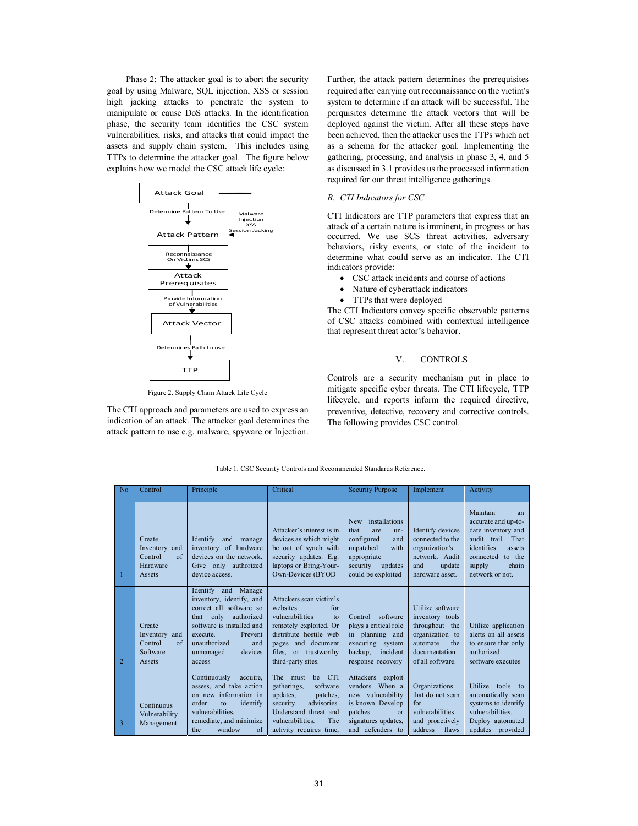Phase 2: The attacker goal is to abort the security goal by using Malware, SQL injection, XSS or session high jacking attacks to penetrate the system to manipulate or cause DoS attacks. In the identification phase, the security team identifies the CSC system vulnerabilities, risks, and attacks that could impact the assets and supply chain system. This includes using TTPs to determine the attacker goal. The figure below explains how we model the CSC attack life cycle:



Figure 2. Supply Chain Attack Life Cycle

The CTI approach and parameters are used to express an indication of an attack. The attacker goal determines the attack pattern to use e.g. malware, spyware or Injection.

Further, the attack pattern determines the prerequisites required after carrying out reconnaissance on the victim's system to determine if an attack will be successful. The perquisites determine the attack vectors that will be deployed against the victim. After all these steps have been achieved, then the attacker uses the TTPs which act as a schema for the attacker goal. Implementing the gathering, processing, and analysis in phase 3, 4, and 5 as discussed in 3.1 provides us the processed information required for our threat intelligence gatherings.

#### *B. CTI Indicators for CSC*

CTI Indicators are TTP parameters that express that an attack of a certain nature is imminent, in progress or has occurred. We use SCS threat activities, adversary behaviors, risky events, or state of the incident to determine what could serve as an indicator. The CTI indicators provide:

- CSC attack incidents and course of actions
- Nature of cyberattack indicators
- TTPs that were deployed

The CTI Indicators convey specific observable patterns of CSC attacks combined with contextual intelligence that represent threat actor's behavior.

## V. CONTROLS

Controls are a security mechanism put in place to mitigate specific cyber threats. The CTI lifecycle, TTP lifecycle, and reports inform the required directive, preventive, detective, recovery and corrective controls. The following provides CSC control.

| N <sub>0</sub> | Control                                                                | Principle                                                                                                                                                                                                             | Critical                                                                                                                                                                                               | <b>Security Purpose</b>                                                                                                                                   | Implement                                                                                                                        | Activity                                                                                                                                                          |
|----------------|------------------------------------------------------------------------|-----------------------------------------------------------------------------------------------------------------------------------------------------------------------------------------------------------------------|--------------------------------------------------------------------------------------------------------------------------------------------------------------------------------------------------------|-----------------------------------------------------------------------------------------------------------------------------------------------------------|----------------------------------------------------------------------------------------------------------------------------------|-------------------------------------------------------------------------------------------------------------------------------------------------------------------|
| 1              | Create<br>Inventory and<br>Control<br>$\alpha$ f<br>Hardware<br>Assets | Identify<br>and<br>manage<br>inventory of hardware<br>devices on the network.<br>Give only authorized<br>device access.                                                                                               | Attacker's interest is in<br>devices as which might<br>be out of synch with<br>security updates. E.g.<br>laptops or Bring-Your-<br>Own-Devices (BYOD                                                   | installations<br><b>New</b><br>that<br>are<br>$un-$<br>configured<br>and<br>unpatched<br>with<br>appropriate<br>security<br>updates<br>could be exploited | Identify devices<br>connected to the<br>organization's<br>network. Audit<br>and<br>update<br>hardware asset.                     | Maintain<br>an<br>accurate and up-to-<br>date inventory and<br>audit trail That<br>identifies<br>assets<br>connected to the<br>chain<br>supply<br>network or not. |
| $\overline{2}$ | Create<br>Inventory and<br>Control<br>of<br>Software<br>Assets         | Identify and<br>Manage<br>inventory, identify, and<br>correct all software so<br>only authorized<br>that<br>software is installed and<br>Prevent<br>execute.<br>unauthorized<br>and<br>devices<br>unmanaged<br>access | Attackers scan victim's<br>websites<br>for<br>vulnerabilities<br>$\mathbf{t}$<br>remotely exploited. Or<br>distribute hostile web<br>pages and document<br>files, or trustworthy<br>third-party sites. | software<br>Control<br>plays a critical role<br>in planning and<br>executing system<br>backup.<br>incident<br>response recovery                           | Utilize software<br>inventory tools<br>throughout the<br>organization to<br>automate<br>the<br>documentation<br>of all software. | Utilize application<br>alerts on all assets<br>to ensure that only<br>authorized<br>software executes                                                             |
| 3              | Continuous<br>Vulnerability<br>Management                              | Continuously<br>acquire,<br>assess, and take action<br>on new information in<br>order<br>identify<br>$\mathbf{f}$<br>vulnerabilities.<br>remediate, and minimize<br>window<br>of<br>the                               | be CTI<br>The must<br>software<br>gatherings.<br>updates.<br>patches.<br>advisories.<br>security<br>Understand threat and<br>The<br>vulnerabilities.<br>activity requires time,                        | Attackers exploit<br>vendors. When a<br>new vulnerability<br>is known. Develop<br>patches<br>$\alpha$<br>signatures updates.<br>and defenders to          | Organizations<br>that do not scan<br>for<br>vulnerabilities<br>and proactively<br>address<br>flaws                               | Utilize tools to<br>automatically scan<br>systems to identify<br>vulnerabilities<br>Deploy automated<br>updates provided                                          |

Table 1. CSC Security Controls and Recommended Standards Reference.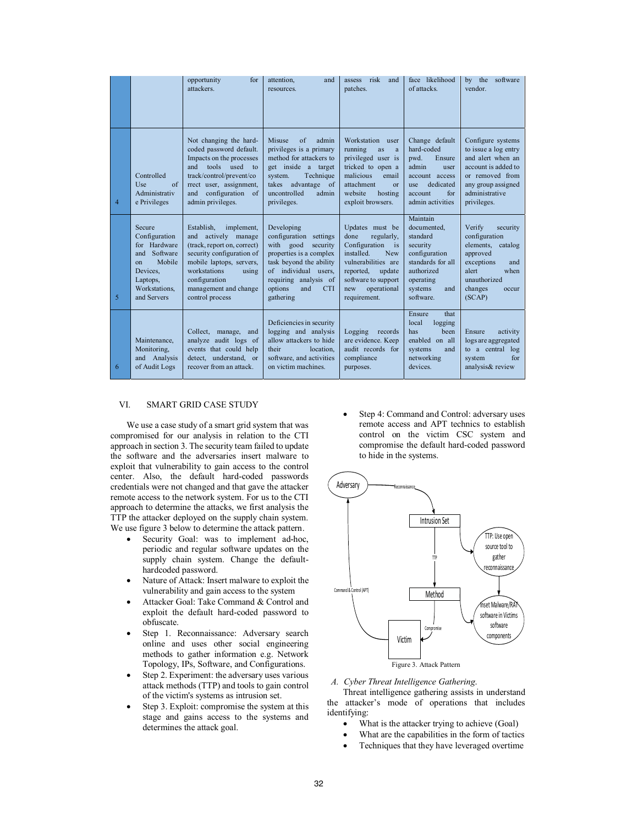|                |                                                                                                                                                   | for<br>opportunity<br>attackers.                                                                                                                                                                                              | attention,<br>and<br>resources.                                                                                                                                                                                   | risk<br>assess<br>and<br>patches.                                                                                                                                                                                    | face likelihood<br>of attacks.                                                                                                                 | software<br>by the<br>vendor.                                                                                                                                   |
|----------------|---------------------------------------------------------------------------------------------------------------------------------------------------|-------------------------------------------------------------------------------------------------------------------------------------------------------------------------------------------------------------------------------|-------------------------------------------------------------------------------------------------------------------------------------------------------------------------------------------------------------------|----------------------------------------------------------------------------------------------------------------------------------------------------------------------------------------------------------------------|------------------------------------------------------------------------------------------------------------------------------------------------|-----------------------------------------------------------------------------------------------------------------------------------------------------------------|
| $\overline{4}$ | Controlled<br>Use<br>of<br>Administrativ<br>e Privileges                                                                                          | Not changing the hard-<br>coded password default.<br>Impacts on the processes<br>tools used<br>and<br>$\overline{10}$<br>track/control/prevent/co<br>rrect user, assignment,<br>configuration of<br>and<br>admin privileges.  | admin<br>Misuse<br>of<br>privileges is a primary<br>method for attackers to<br>get inside a target<br>Technique<br>system.<br>advantage of<br>takes<br>uncontrolled<br>admin<br>privileges.                       | Workstation user<br>running<br>as<br>a<br>privileged user is<br>tricked to open a<br>malicious<br>email<br>attachment<br>$\alpha$<br>website<br>hosting<br>exploit browsers.                                         | Change default<br>hard-coded<br>pwd.<br>Ensure<br>admin<br>user<br>account access<br>dedicated<br>use<br>for<br>account<br>admin activities    | Configure systems<br>to issue a log entry<br>and alert when an<br>account is added to<br>or removed from<br>any group assigned<br>administrative<br>privileges. |
| 5              | Secure<br>Configuration<br>Hardware<br>for<br>Software<br>and<br>Mobile<br>$_{\text{on}}$<br>Devices.<br>Laptops,<br>Workstations.<br>and Servers | Establish.<br>implement,<br>and actively manage<br>(track, report on, correct)<br>security configuration of<br>mobile laptops, servers,<br>workstations<br>using<br>configuration<br>management and change<br>control process | Developing<br>configuration settings<br>with good<br>security<br>properties is a complex<br>task beyond the ability<br>of individual users,<br>requiring analysis of<br>options<br>and<br><b>CTI</b><br>gathering | Updates must be<br>done<br>regularly,<br>Configuration<br>$\frac{1}{1}$<br><i>installed</i><br><b>New</b><br>vulnerabilities are<br>reported,<br>update<br>software to support<br>operational<br>new<br>requirement. | Maintain<br>documented.<br>standard<br>security<br>configuration<br>standards for all<br>authorized<br>operating<br>systems<br>and<br>software | Verify<br>security<br>configuration<br>elements.<br>catalog<br>approved<br>exceptions<br>and<br>alert<br>when<br>unauthorized<br>changes<br>occur<br>(SCAP)     |
| 6              | Maintenance,<br>Monitoring.<br>and Analysis<br>of Audit Logs                                                                                      | Collect, manage,<br>and<br>analyze audit logs of<br>events that could help<br>detect, understand, or<br>recover from an attack                                                                                                | Deficiencies in security<br>logging and analysis<br>allow attackers to hide<br>their<br>location.<br>software, and activities<br>on victim machines                                                               | Logging<br>records<br>are evidence. Keep<br>audit records for<br>compliance<br>purposes.                                                                                                                             | Ensure<br>that<br>local<br>logging<br>has<br>heen<br>enabled on all<br>systems<br>and<br>networking<br>devices                                 | Ensure<br>activity<br>logs are aggregated<br>to a central log<br>for<br>system<br>analysis& review                                                              |

#### VI. SMART GRID CASE STUDY

We use a case study of a smart grid system that was compromised for our analysis in relation to the CTI approach in section 3. The security team failed to update the software and the adversaries insert malware to exploit that vulnerability to gain access to the control center. Also, the default hard-coded passwords credentials were not changed and that gave the attacker remote access to the network system. For us to the CTI approach to determine the attacks, we first analysis the TTP the attacker deployed on the supply chain system. We use figure 3 below to determine the attack pattern.

- Security Goal: was to implement ad-hoc, periodic and regular software updates on the supply chain system. Change the defaulthardcoded password.
- Nature of Attack: Insert malware to exploit the vulnerability and gain access to the system
- Attacker Goal: Take Command & Control and exploit the default hard-coded password to obfuscate.
- Step 1. Reconnaissance: Adversary search online and uses other social engineering methods to gather information e.g. Network Topology, IPs, Software, and Configurations.
- Step 2. Experiment: the adversary uses various attack methods (TTP) and tools to gain control of the victim's systems as intrusion set.
- Step 3. Exploit: compromise the system at this stage and gains access to the systems and determines the attack goal.

• Step 4: Command and Control: adversary uses remote access and APT technics to establish control on the victim CSC system and compromise the default hard-coded password to hide in the systems.



#### *A. Cyber Threat Intelligence Gathering*.

Threat intelligence gathering assists in understand the attacker's mode of operations that includes identifying:

- $\bullet$  What is the attacker trying to achieve (Goal)
- What are the capabilities in the form of tactics
- Techniques that they have leveraged overtime